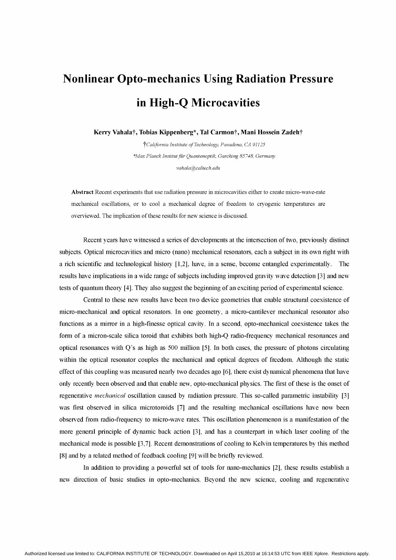## Nonlinear Opto-mechanics Using Radiation Pressure in High-Q Microcavities

Kerry Vahala†, Tobias Kippenberg\*, Tal Carmon†, Mani Hossein Zadeh†

tCalifornia Institute of Technology, Pasadena, CA 91125 \*Max Planck Institut für Quantenoptik, Garching 85748, Germany vahala@caltech.edu

Abstract Recent experiments that use radiation pressure in microcavities either to create micro-wave-rate mechanical oscillations, or to cool a mechanical degree of freedom to cryogenic temperatures are overviewed. The implication of these results for new science is discussed.

Recent years have witnessed a series of developments at the intersection of two, previously distinct subjects. Optical microcavities and micro (nano) mechanical resonators, each a subject in its own right with a rich scientific and technological history [1,2], have, in a sense, become entangled experimentally. The results have implications in a wide range of subjects including improved gravity wave detection [3] and new tests of quantum theory [4]. They also suggest the beginning of an exciting period of experimental science.

Central to these new results have been two device geometries that enable structural coexistence of micro-mechanical and optical resonators. In one geometry, a micro-cantilever mechanical resonator also functions as a mirror in a high-finesse optical cavity. In a second, opto-mechanical coexistence takes the form of a micron-scale silica toroid that exhibits both high-Q radio-frequency mechanical resonances and optical resonances with Q's as high as 500 million [5]. In both cases, the pressure of photons circulating within the optical resonator couples the mechanical and optical degrees of freedom. Although the static effect of this coupling was measured nearly two decades ago [6], there exist dynamical phenomena that have only recently been observed and that enable new, opto-mechanical physics. The first of these is the onset of regenerative *mechanical* oscillation caused by radiation pressure. This so-called parametric instability [3] was first observed in silica microtoroids [7] and the resulting mechanical oscillations have now been observed from radio-frequency to micro-wave rates. This oscillation phenomenon is a manifestation of the more general principle of dynamic back action [3], and has a counterpart in which laser cooling of the mechanical mode is possible [3,7]. Recent demonstrations of cooling to Kelvin temperatures by this method [8] and by a related method of feedback cooling [9] will be briefly reviewed.

In addition to providing a powerful set of tools for nano-mechanics [2], these results establish a new direction of basic studies in opto-mechanics. Beyond the new science, cooling and regenerative